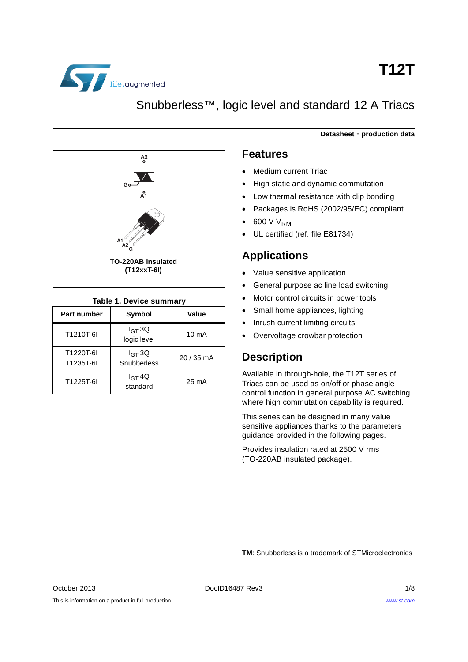

# **T12T**

## Snubberless™, logic level and standard 12 A Triacs



#### **Table 1. Device summary**

| Part number            | <b>Symbol</b>              | Value           |
|------------------------|----------------------------|-----------------|
| T1210T-6I              | $I_{GT}$ 3Q<br>logic level | $10 \text{ mA}$ |
| T1220T-6I<br>T1235T-6I | $I_{GT}$ 3Q<br>Snubberless | $20/35$ mA      |
| T1225T-6I              | $I_{GT}$ 4Q<br>standard    | $25 \text{ mA}$ |

#### **Datasheet** - **production data**

### <span id="page-0-0"></span>**Features**

- Medium current Triac
- High static and dynamic commutation
- Low thermal resistance with clip bonding
- Packages is RoHS (2002/95/EC) compliant
- 600 V V<sub>RM</sub>
- UL certified (ref. file E81734)

### **Applications**

- Value sensitive application
- General purpose ac line load switching
- Motor control circuits in power tools
- Small home appliances, lighting
- Inrush current limiting circuits
- Overvoltage crowbar protection

### **Description**

Available in through-hole, the T12T series of Triacs can be used as on/off or phase angle control function in general purpose AC switching where high commutation capability is required.

This series can be designed in many value sensitive appliances thanks to the parameters guidance provided in the following pages.

Provides insulation rated at 2500 V rms (TO-220AB insulated package).

**TM**: Snubberless is a trademark of STMicroelectronics

October 2013 DocID16487 Rev3 1/8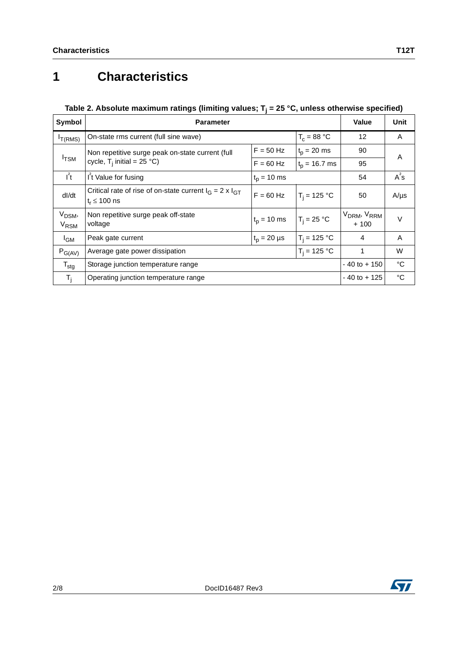## <span id="page-1-0"></span>**1 Characteristics**

### Table 2. Absolute maximum ratings (limiting values; T<sub>j</sub> = 25 °C, unless otherwise specified)

| Symbol                                       | <b>Parameter</b>                                                                                      | Value       | Unit            |                                               |           |
|----------------------------------------------|-------------------------------------------------------------------------------------------------------|-------------|-----------------|-----------------------------------------------|-----------|
| $I_{T(RMS)}$                                 | On-state rms current (full sine wave)                                                                 |             | $T_c = 88 °C$   | 12                                            | A         |
|                                              | Non repetitive surge peak on-state current (full                                                      | $F = 50$ Hz | $t_p = 20$ ms   | 90                                            | A         |
| $I$ <sub>TSM</sub>                           | cycle, $T_i$ initial = 25 °C)                                                                         | $F = 60$ Hz | $t_p = 16.7$ ms | 95                                            |           |
| $l^{2}t$                                     | I't Value for fusing<br>$t_{p}$ = 10 ms                                                               |             |                 | 54                                            | $A^2S$    |
| dl/dt                                        | Critical rate of rise of on-state current $I_G = 2 \times I_{GT}$<br>$F = 60$ Hz<br>$t_r \leq 100$ ns |             | $T_i = 125 °C$  | 50                                            | $A/\mu s$ |
| V <sub>DSM</sub> ,<br><b>V<sub>RSM</sub></b> | Non repetitive surge peak off-state<br>$t_p = 10$ ms<br>voltage                                       |             | $T_i = 25 °C$   | V <sub>DRM</sub> , V <sub>RRM</sub><br>$+100$ | $\vee$    |
| $I_{GM}$                                     | $T_i = 125 °C$<br>$t_p = 20 \mu s$<br>Peak gate current                                               |             |                 | 4                                             | A         |
| $P_{G(AV)}$                                  | $T_i = 125 °C$<br>Average gate power dissipation                                                      |             |                 | 1                                             | W         |
| $T_{\text{stg}}$                             | Storage junction temperature range                                                                    |             |                 | $-40$ to $+150$                               | °C        |
| $T_{\rm i}$                                  | Operating junction temperature range                                                                  |             |                 | $-40$ to $+125$                               | °C        |

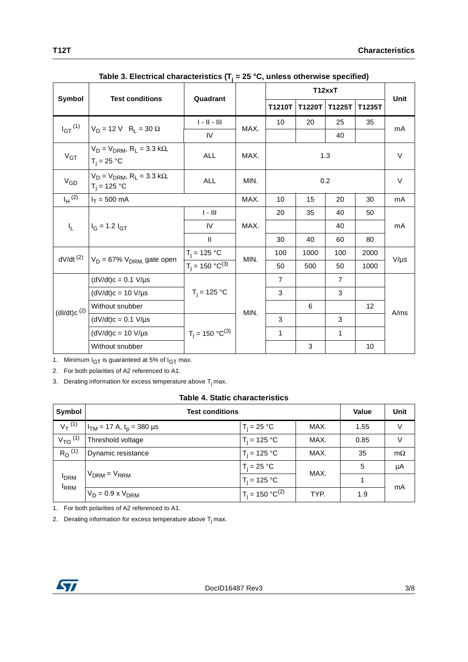|                                        |                                                                       | Quadrant                |      | T12xxT         |        |                |        | Unit      |
|----------------------------------------|-----------------------------------------------------------------------|-------------------------|------|----------------|--------|----------------|--------|-----------|
| Symbol                                 | <b>Test conditions</b>                                                |                         |      | T1210T         | T1220T | T1225T         | T1235T |           |
| $I_{GT}$ <sup>(1)</sup>                | $V_D = 12 V R_L = 30 \Omega$                                          | $\ \cdot\  \cdot \  \ $ | MAX. | 10             | 20     | 25             | 35     | mA        |
|                                        |                                                                       | IV                      |      |                |        | 40             |        |           |
| $V_{GT}$                               | $V_D = V_{DRM}$ , R <sub>1</sub> = 3.3 k $\Omega$ ,<br>$T_i = 25 °C$  | <b>ALL</b>              | MAX. |                |        | 1.3            |        | V         |
| $V_{GD}$                               | $V_D = V_{DRM}$ , R <sub>1</sub> = 3.3 k $\Omega$ ,<br>$T_i = 125 °C$ | <b>ALL</b>              | MIN. |                | 0.2    |                |        | V         |
| $I_H$ <sup>(2)</sup>                   | $I_T = 500$ mA                                                        |                         | MAX. | 10             | 15     | 20             | 30     | mA        |
|                                        | $I_G$ = 1.2 $I_{GT}$                                                  | $I - III$               |      | 20             | 35     | 40             | 50     | mA        |
| $I_{L}$                                |                                                                       | IV                      | MAX. |                |        | 40             |        |           |
|                                        |                                                                       | $\mathbf{II}$           |      | 30             | 40     | 60             | 80     |           |
| $dV/dt$ <sup>(2)</sup>                 |                                                                       | $T_i = 125 °C$          | MIN. | 100            | 1000   | 100            | 2000   |           |
|                                        | $V_D = 67\% V_{DRM}$ gate open                                        | $T_i = 150 °C^{(3)}$    |      | 50             | 500    | 50             | 1000   | $V/\mu s$ |
|                                        | $(dV/dt)c = 0.1 V/\mu s$                                              |                         |      | $\overline{7}$ |        | $\overline{7}$ |        |           |
|                                        | $(dV/dt)c = 10 V/\mu s$                                               | $T_i = 125 °C$          |      | 3              |        | 3              |        |           |
| $(dI/dt)c$ <sup><math>(2)</math></sup> | Without snubber                                                       |                         | MIN. |                | 6      |                | 12     | A/ms      |
|                                        | $(dV/dt)c = 0.1 V/\mu s$                                              |                         |      | 3              |        | 3              |        |           |
|                                        | $(dV/dt)c = 10 V/\mu s$                                               | $T_i = 150 °C^{(3)}$    |      | 1              |        | $\mathbf{1}$   |        |           |
|                                        | Without snubber                                                       |                         |      |                | 3      |                | 10     |           |

| Table 3. Electrical characteristics ( $T_i$ = 25 °C, unless otherwise specified) |  |
|----------------------------------------------------------------------------------|--|
|----------------------------------------------------------------------------------|--|

1. Minimum  $I_{GT}$  is guaranteed at 5% of  $I_{GT}$  max.

2. For both polarities of A2 referenced to A1.

3. Derating information for excess temperature above  $T_j$  max.

|  |  | <b>Table 4. Static characteristics</b> |
|--|--|----------------------------------------|
|--|--|----------------------------------------|

| Symbol                           | <b>Test conditions</b>                   |                      |      |      | Unit      |
|----------------------------------|------------------------------------------|----------------------|------|------|-----------|
| $V_T^{(1)}$                      | $I_{TM}$ = 17 A, t <sub>p</sub> = 380 µs | $T_i = 25 °C$        | MAX. | 1.55 | V         |
| $V_{TO}$ (1)                     | Threshold voltage                        | $T_i = 125 °C$       | MAX. | 0.85 | $\vee$    |
| $R_D^{(1)}$                      | Dynamic resistance                       | $T_i = 125 °C$       | MAX. | 35   | $m\Omega$ |
| <b>I</b> DRM<br><sup>I</sup> RRM |                                          | $T_i = 25 °C$        | MAX. | 5    | μA        |
|                                  | $V_{DRM} = V_{RRM}$                      | $T_i = 125 °C$       |      | 1    |           |
|                                  | $V_D = 0.9 \times V_{DRM}$               | $T_i = 150 °C^{(2)}$ | TYP. | 1.9  | mA        |

1. For both polarities of A2 referenced to A1.

2. Derating information for excess temperature above  $T_j$  max.

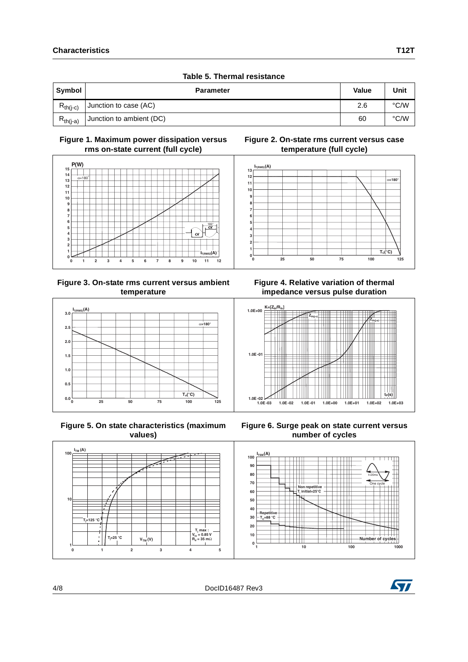|               | Table 5. Thermal resistance |              |      |
|---------------|-----------------------------|--------------|------|
| Symbol        | <b>Parameter</b>            | <b>Value</b> | Unit |
| $R_{th(i-c)}$ | Junction to case (AC)       | 2.6          | °C/W |
| $R_{th(i-a)}$ | Junction to ambient (DC)    | 60           | °C/W |

#### **Figure 1. Maximum power dissipation versus rms on-state current (full cycle)**



#### **Figure 3. On-state rms current versus ambient temperature**



 **Figure 5. On state characteristics (maximum values)**





**Figure 4. Relative variation of thermal impedance versus pulse duration**



**Figure 6. Surge peak on state current versus number of cycles**







**1**

**10**

**100**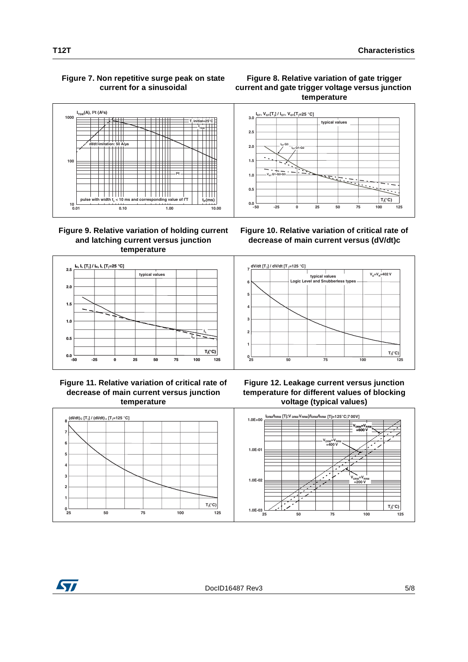### **Figure 7. Non repetitive surge peak on state current for a sinusoidal**



#### **Figure 9. Relative variation of holding current and latching current versus junction temperature**









**Figure 10. Relative variation of critical rate of decrease of main current versus (dV/dt)c**







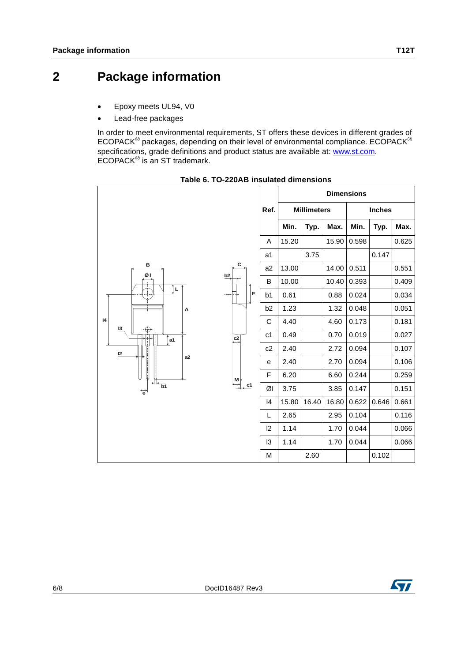- Epoxy meets UL94, V0
- Lead-free packages

In order to meet environmental requirements, ST offers these devices in different grades of ECOPACK® packages, depending on their level of environmental compliance. ECOPACK® specifications, grade definitions and product status are available at: [www.st.com](http://www.st.com). ECOPACK® is an ST trademark.



**Table 6. TO-220AB insulated dimensions**

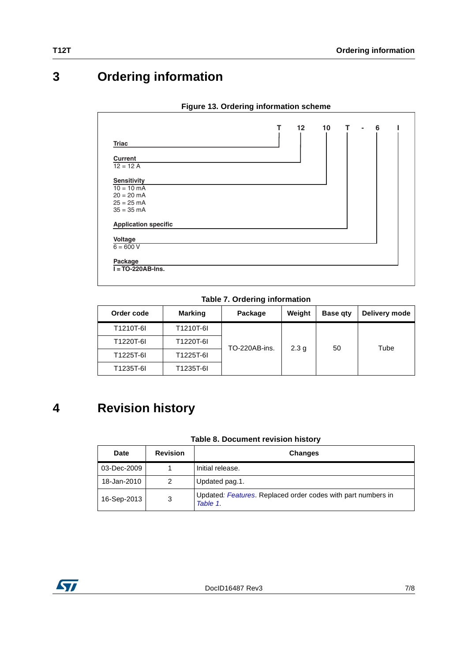## **3 Ordering information**

|                             | т | $12 \overline{ }$ | 10 | т | $\blacksquare$ | 6 |  |
|-----------------------------|---|-------------------|----|---|----------------|---|--|
|                             |   |                   |    |   |                |   |  |
| <b>Triac</b>                |   |                   |    |   |                |   |  |
| <b>Current</b>              |   |                   |    |   |                |   |  |
| $12 = 12 A$                 |   |                   |    |   |                |   |  |
| <b>Sensitivity</b>          |   |                   |    |   |                |   |  |
| $10 = 10 \text{ mA}$        |   |                   |    |   |                |   |  |
| $20 = 20$ mA                |   |                   |    |   |                |   |  |
| $25 = 25 \text{ mA}$        |   |                   |    |   |                |   |  |
| $35 = 35 \text{ mA}$        |   |                   |    |   |                |   |  |
| <b>Application specific</b> |   |                   |    |   |                |   |  |
| Voltage                     |   |                   |    |   |                |   |  |
| $6 = 600 V$                 |   |                   |    |   |                |   |  |
| Package                     |   |                   |    |   |                |   |  |
| $I = TO-220AB-Ins.$         |   |                   |    |   |                |   |  |

#### **Figure 13. Ordering information scheme**

**Table 7. Ordering information**

| Order code | <b>Marking</b> | Package       | Weight           | <b>Base gty</b> | Delivery mode |
|------------|----------------|---------------|------------------|-----------------|---------------|
| T1210T-6I  | T1210T-6I      |               |                  |                 |               |
| T1220T-6I  | T1220T-6I      | TO-220AB-ins. | 2.3 <sub>q</sub> | 50              | Tube          |
| T1225T-6I  | T1225T-6I      |               |                  |                 |               |
| T1235T-6I  | T1235T-6I      |               |                  |                 |               |

## **4 Revision history**

#### **Table 8. Document revision history**

| Date        | <b>Revision</b> | <b>Changes</b>                                                           |
|-------------|-----------------|--------------------------------------------------------------------------|
| 03-Dec-2009 |                 | Initial release.                                                         |
| 18-Jan-2010 | 2               | Updated pag.1.                                                           |
| 16-Sep-2013 | 3               | Updated: Features. Replaced order codes with part numbers in<br>Table 1. |